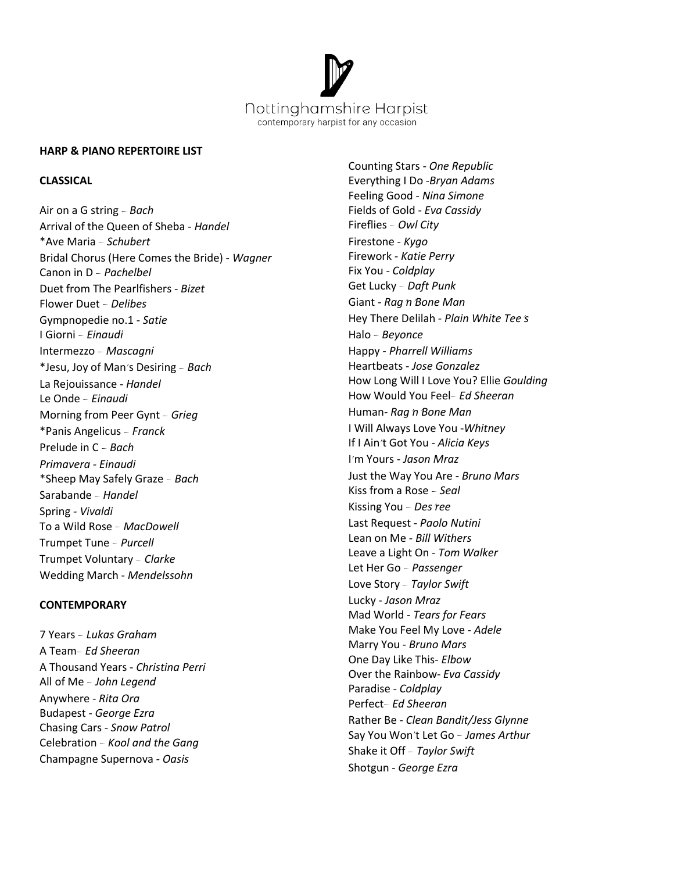

#### **HARP & PIANO REPERTOIRE LIST**

# **CLASSICAL**

Air on a G string – *Bach* Arrival of the Queen of Sheba - *Handel* \*Ave Maria – *Schubert* Bridal Chorus (Here Comes the Bride) - *Wagner* Canon in D – *Pachelbel* Duet from The Pearlfishers - *Bizet* Flower Duet – *Delibes* Gympnopedie no.1 - *Satie* I Giorni – *Einaudi* Intermezzo – *Mascagni* \*Jesu, Joy of Man's Desiring – *Bach* La Rejouissance - *Handel* Le Onde – *Einaudi* Morning from Peer Gynt – *Grieg* \*Panis Angelicus – *Franck* Prelude in C – *Bach Primavera - Einaudi* \*Sheep May Safely Graze – *Bach* Sarabande – *Handel* Spring *- Vivaldi* To a Wild Rose – *MacDowell* Trumpet Tune – *Purcell* Trumpet Voluntary – *Clarke* Wedding March - *Mendelssohn*

## **CONTEMPORARY**

7 Years – *Lukas Graham* A Team– *Ed Sheeran* A Thousand Years - *Christina Perri* All of Me – *John Legend* Anywhere *- Rita Ora* Budapest -*George Ezra* Chasing Cars - *Snow Patrol* Celebration – *Kool and the Gang* Champagne Supernova *- Oasis*

Counting Stars *- One Republic* Everything I Do -*Bryan Adams* Feeling Good - *Nina Simone* Fields of Gold - *Eva Cassidy* Fireflies – *Owl City* Firestone - *Kygo* Firework *- Katie Perry* Fix You - *Coldplay* Get Lucky – *Daft Punk* Giant *-Rag*'*n*'*Bone Man* Hey There Delilah *- Plain White Tee*'*s* Halo – *Beyonce* Happy *- Pharrell Williams* Heartbeats - *Jose Gonzalez* How Long Will I Love You? Ellie *Goulding* How Would You Feel– *Ed Sheeran* Human*- Rag*'*n*'*Bone Man* I Will Always Love You -*Whitney* If I Ain't Got You *- Alicia Keys* I'm Yours *- Jason Mraz* Just the Way You Are - *Bruno Mars* Kiss from a Rose – *Seal* Kissing You – *Des*'*ree* Last Request - *Paolo Nutini* Lean on Me - *Bill Withers* Leave a Light On - *Tom Walker* Let Her Go – *Passenger* Love Story – *Taylor Swift* Lucky *- Jason Mraz* Mad World - *Tears for Fears* Make You Feel My Love *- Adele* Marry You - *Bruno Mars* One Day Like This- *Elbow* Over the Rainbow- *Eva Cassidy* Paradise - *Coldplay* Perfect– *Ed Sheeran* Rather Be - *Clean Bandit/Jess Glynne* Say You Won't Let Go – *James Arthur* Shake it Off – *Taylor Swift* Shotgun - *George Ezra*